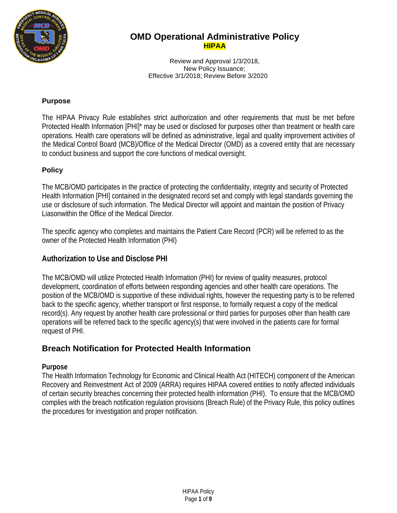

Review and Approval 1/3/2018, New Policy Issuance; Effective 3/1/2018; Review Before 3/2020

### **Purpose**

The HIPAA Privacy Rule establishes strict authorization and other requirements that must be met before Protected Health Information [PHI]\* may be used or disclosed for purposes other than treatment or health care operations. Health care operations will be defined as administrative, legal and quality improvement activities of the Medical Control Board (MCB)/Office of the Medical Director (OMD) as a covered entity that are necessary to conduct business and support the core functions of medical oversight.

### **Policy**

The MCB/OMD participates in the practice of protecting the confidentiality, integrity and security of Protected Health Information [PHI] contained in the designated record set and comply with legal standards governing the use or disclosure of such information. The Medical Director will appoint and maintain the position of Privacy Liasonwithin the Office of the Medical Director.

The specific agency who completes and maintains the Patient Care Record (PCR) will be referred to as the owner of the Protected Health Information (PHI)

### **Authorization to Use and Disclose PHI**

The MCB/OMD will utilize Protected Health Information (PHI) for review of quality measures, protocol development, coordination of efforts between responding agencies and other health care operations. The position of the MCB/OMD is supportive of these individual rights, however the requesting party is to be referred back to the specific agency, whether transport or first response, to formally request a copy of the medical record(s). Any request by another health care professional or third parties for purposes other than health care operations will be referred back to the specific agency(s) that were involved in the patients care for formal request of PHI.

## **Breach Notification for Protected Health Information**

#### **Purpose**

The Health Information Technology for Economic and Clinical Health Act (HITECH) component of the American Recovery and Reinvestment Act of 2009 (ARRA) requires HIPAA covered entities to notify affected individuals of certain security breaches concerning their protected health information (PHI). To ensure that the MCB/OMD complies with the breach notification regulation provisions (Breach Rule) of the Privacy Rule, this policy outlines the procedures for investigation and proper notification.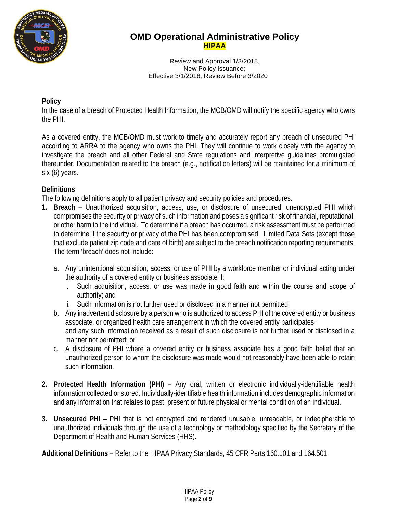

Review and Approval 1/3/2018, New Policy Issuance; Effective 3/1/2018; Review Before 3/2020

### **Policy**

In the case of a breach of Protected Health Information, the MCB/OMD will notify the specific agency who owns the PHI.

As a covered entity, the MCB/OMD must work to timely and accurately report any breach of unsecured PHI according to ARRA to the agency who owns the PHI. They will continue to work closely with the agency to investigate the breach and all other Federal and State regulations and interpretive guidelines promulgated thereunder. Documentation related to the breach (e.g., notification letters) will be maintained for a minimum of six (6) years.

### **Definitions**

The following definitions apply to all patient privacy and security policies and procedures.

- **1. Breach**  Unauthorized acquisition, access, use, or disclosure of unsecured, unencrypted PHI which compromises the security or privacy of such information and poses a significant risk of financial, reputational, or other harm to the individual. To determine if a breach has occurred, a risk assessment must be performed to determine if the security or privacy of the PHI has been compromised. Limited Data Sets (except those that exclude patient zip code and date of birth) are subject to the breach notification reporting requirements. The term 'breach' does not include:
	- a. Any unintentional acquisition, access, or use of PHI by a workforce member or individual acting under the authority of a covered entity or business associate if:
		- i. Such acquisition, access, or use was made in good faith and within the course and scope of authority; and
		- ii. Such information is not further used or disclosed in a manner not permitted;
	- b. Any inadvertent disclosure by a person who is authorized to access PHI of the covered entity or business associate, or organized health care arrangement in which the covered entity participates; and any such information received as a result of such disclosure is not further used or disclosed in a manner not permitted; or
	- c. A disclosure of PHI where a covered entity or business associate has a good faith belief that an unauthorized person to whom the disclosure was made would not reasonably have been able to retain such information.
- **2. Protected Health Information (PHI)** Any oral, written or electronic individually-identifiable health information collected or stored. Individually-identifiable health information includes demographic information and any information that relates to past, present or future physical or mental condition of an individual.
- **3. Unsecured PHI** PHI that is not encrypted and rendered unusable, unreadable, or indecipherable to unauthorized individuals through the use of a technology or methodology specified by the Secretary of the Department of Health and Human Services (HHS).

**Additional Definitions** – Refer to the HIPAA Privacy Standards, 45 CFR Parts 160.101 and 164.501,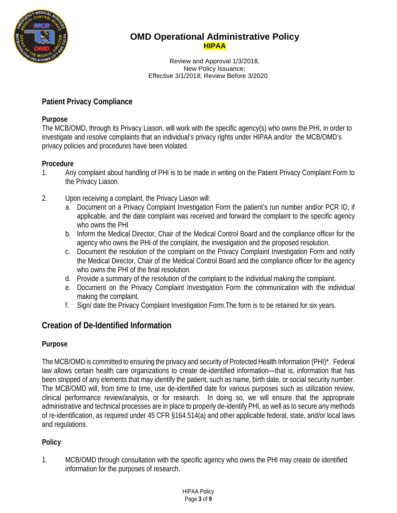

Review and Approval 1/3/2018, New Policy Issuance; Effective 3/1/2018; Review Before 3/2020

## **Patient Privacy Compliance**

### **Purpose**

The MCB/OMD, through its Privacy Liason, will work with the specific agency(s) who owns the PHI, in order to investigate and resolve complaints that an individual's privacy rights under HIPAA and/or the MCB/OMD's privacy policies and procedures have been violated.

### **Procedure**

- 1. Any complaint about handling of PHI is to be made in writing on the Patient Privacy Complaint Form to the Privacy Liason.
- 2. Upon receiving a complaint, the Privacy Liason will:
	- a. Document on a Privacy Complaint Investigation Form the patient's run number and/or PCR ID, if applicable, and the date complaint was received and forward the complaint to the specific agency who owns the PHI
	- b. Inform the Medical Director, Chair of the Medical Control Board and the compliance officer for the agency who owns the PHI of the complaint, the investigation and the proposed resolution.
	- c. Document the resolution of the complaint on the Privacy Complaint Investigation Form and notify the Medical Director, Chair of the Medical Control Board and the compliance officer for the agency who owns the PHI of the final resolution.
	- d. Provide a summary of the resolution of the complaint to the individual making the complaint.
	- e. Document on the Privacy Complaint Investigation Form the communication with the individual making the complaint.
	- f. Sign/ date the Privacy Complaint Investigation Form.The form is to be retained for six years.

# **Creation of De-Identified Information**

## **Purpose**

The MCB/OMD is committed to ensuring the privacy and security of Protected Health Information (PHI)\*. Federal law allows certain health care organizations to create de-identified information—that is, information that has been stripped of any elements that may identify the patient, such as name, birth date, or social security number. The MCB/OMD will, from time to time, use de-identified date for various purposes such as utilization review, clinical performance review/analysis, or for research. In doing so, we will ensure that the appropriate administrative and technical processes are in place to properly de-identify PHI, as well as to secure any methods of re-identification, as required under 45 CFR §164.514(a) and other applicable federal, state, and/or local laws and regulations.

## **Policy**

1. MCB/OMD through consultation with the specific agency who owns the PHI may create de identified information for the purposes of research.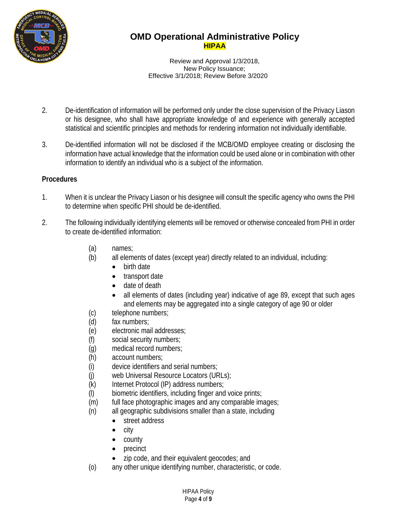

Review and Approval 1/3/2018, New Policy Issuance; Effective 3/1/2018; Review Before 3/2020

- 2. De-identification of information will be performed only under the close supervision of the Privacy Liason or his designee, who shall have appropriate knowledge of and experience with generally accepted statistical and scientific principles and methods for rendering information not individually identifiable.
- 3. De-identified information will not be disclosed if the MCB/OMD employee creating or disclosing the information have actual knowledge that the information could be used alone or in combination with other information to identify an individual who is a subject of the information.

### **Procedures**

- 1. When it is unclear the Privacy Liason or his designee will consult the specific agency who owns the PHI to determine when specific PHI should be de-identified.
- 2. The following individually identifying elements will be removed or otherwise concealed from PHI in order to create de-identified information:
	- (a) names;
	- (b) all elements of dates (except year) directly related to an individual, including:
		- birth date
		- transport date
		- date of death
		- all elements of dates (including year) indicative of age 89, except that such ages and elements may be aggregated into a single category of age 90 or older
	- (c) telephone numbers;
	- (d) fax numbers;
	- (e) electronic mail addresses;
	- (f) social security numbers;
	- (g) medical record numbers;
	- (h) account numbers;
	- (i) device identifiers and serial numbers;
	- (j) web Universal Resource Locators (URLs);
	- (k) Internet Protocol (IP) address numbers;
	- (l) biometric identifiers, including finger and voice prints;
	- (m) full face photographic images and any comparable images;
	- (n) all geographic subdivisions smaller than a state, including
		- street address
		- city
		- county
		- precinct
		- zip code, and their equivalent geocodes; and
	- (o) any other unique identifying number, characteristic, or code.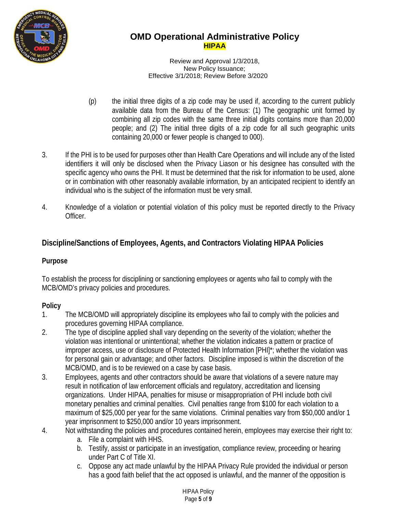

Review and Approval 1/3/2018, New Policy Issuance; Effective 3/1/2018; Review Before 3/2020

- (p) the initial three digits of a zip code may be used if, according to the current publicly available data from the Bureau of the Census: (1) The geographic unit formed by combining all zip codes with the same three initial digits contains more than 20,000 people; and (2) The initial three digits of a zip code for all such geographic units containing 20,000 or fewer people is changed to 000).
- 3. If the PHI is to be used for purposes other than Health Care Operations and will include any of the listed identifiers it will only be disclosed when the Privacy Liason or his designee has consulted with the specific agency who owns the PHI. It must be determined that the risk for information to be used, alone or in combination with other reasonably available information, by an anticipated recipient to identify an individual who is the subject of the information must be very small.
- 4. Knowledge of a violation or potential violation of this policy must be reported directly to the Privacy Officer.

# **Discipline/Sanctions of Employees, Agents, and Contractors Violating HIPAA Policies**

## **Purpose**

To establish the process for disciplining or sanctioning employees or agents who fail to comply with the MCB/OMD's privacy policies and procedures.

## **Policy**

- 1. The MCB/OMD will appropriately discipline its employees who fail to comply with the policies and procedures governing HIPAA compliance.
- 2. The type of discipline applied shall vary depending on the severity of the violation; whether the violation was intentional or unintentional; whether the violation indicates a pattern or practice of improper access, use or disclosure of Protected Health Information [PHI]\*; whether the violation was for personal gain or advantage; and other factors. Discipline imposed is within the discretion of the MCB/OMD, and is to be reviewed on a case by case basis.
- 3. Employees, agents and other contractors should be aware that violations of a severe nature may result in notification of law enforcement officials and regulatory, accreditation and licensing organizations. Under HIPAA, penalties for misuse or misappropriation of PHI include both civil monetary penalties and criminal penalties. Civil penalties range from \$100 for each violation to a maximum of \$25,000 per year for the same violations. Criminal penalties vary from \$50,000 and/or 1 year imprisonment to \$250,000 and/or 10 years imprisonment.
- 4. Not withstanding the policies and procedures contained herein, employees may exercise their right to:
	- a. File a complaint with HHS.
	- b. Testify, assist or participate in an investigation, compliance review, proceeding or hearing under Part C of Title XI.
	- c. Oppose any act made unlawful by the HIPAA Privacy Rule provided the individual or person has a good faith belief that the act opposed is unlawful, and the manner of the opposition is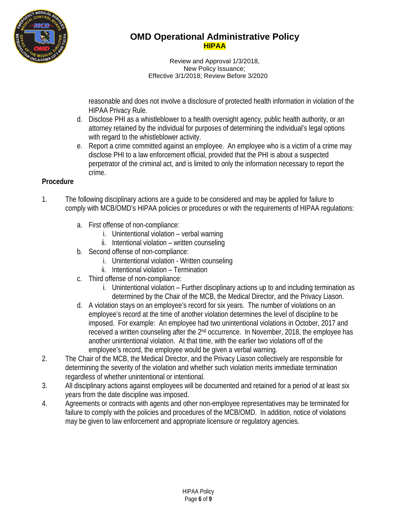

Review and Approval 1/3/2018, New Policy Issuance; Effective 3/1/2018; Review Before 3/2020

reasonable and does not involve a disclosure of protected health information in violation of the HIPAA Privacy Rule.

- d. Disclose PHI as a whistleblower to a health oversight agency, public health authority, or an attorney retained by the individual for purposes of determining the individual's legal options with regard to the whistleblower activity.
- e. Report a crime committed against an employee. An employee who is a victim of a crime may disclose PHI to a law enforcement official, provided that the PHI is about a suspected perpetrator of the criminal act, and is limited to only the information necessary to report the crime.

### **Procedure**

- 1. The following disciplinary actions are a guide to be considered and may be applied for failure to comply with MCB/OMD's HIPAA policies or procedures or with the requirements of HIPAA regulations:
	- a. First offense of non-compliance:
		- i. Unintentional violation verbal warning
		- ii. Intentional violation written counseling
	- b. Second offense of non-compliance:
		- i. Unintentional violation Written counseling
		- ii. Intentional violation Termination
	- c. Third offense of non-compliance:
		- i. Unintentional violation Further disciplinary actions up to and including termination as determined by the Chair of the MCB, the Medical Director, and the Privacy Liason.
	- d. A violation stays on an employee's record for six years. The number of violations on an employee's record at the time of another violation determines the level of discipline to be imposed. For example: An employee had two unintentional violations in October, 2017 and received a written counseling after the 2nd occurrence. In November, 2018, the employee has another unintentional violation. At that time, with the earlier two violations off of the employee's record, the employee would be given a verbal warning.
- 2. The Chair of the MCB, the Medical Director, and the Privacy Liason collectively are responsible for determining the severity of the violation and whether such violation merits immediate termination regardless of whether unintentional or intentional.
- 3. All disciplinary actions against employees will be documented and retained for a period of at least six years from the date discipline was imposed.
- 4. Agreements or contracts with agents and other non-employee representatives may be terminated for failure to comply with the policies and procedures of the MCB/OMD. In addition, notice of violations may be given to law enforcement and appropriate licensure or regulatory agencies.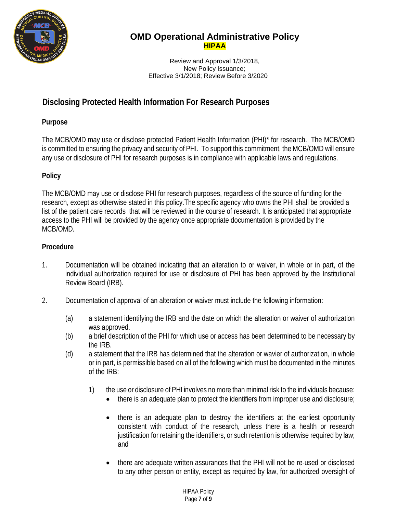

Review and Approval 1/3/2018, New Policy Issuance; Effective 3/1/2018; Review Before 3/2020

# **Disclosing Protected Health Information For Research Purposes**

### **Purpose**

The MCB/OMD may use or disclose protected Patient Health Information (PHI)\* for research. The MCB/OMD is committed to ensuring the privacy and security of PHI. To support this commitment, the MCB/OMD will ensure any use or disclosure of PHI for research purposes is in compliance with applicable laws and regulations.

### **Policy**

The MCB/OMD may use or disclose PHI for research purposes, regardless of the source of funding for the research, except as otherwise stated in this policy.The specific agency who owns the PHI shall be provided a list of the patient care records that will be reviewed in the course of research. It is anticipated that appropriate access to the PHI will be provided by the agency once appropriate documentation is provided by the MCB/OMD.

### **Procedure**

- 1. Documentation will be obtained indicating that an alteration to or waiver, in whole or in part, of the individual authorization required for use or disclosure of PHI has been approved by the Institutional Review Board (IRB).
- 2. Documentation of approval of an alteration or waiver must include the following information:
	- (a) a statement identifying the IRB and the date on which the alteration or waiver of authorization was approved.
	- (b) a brief description of the PHI for which use or access has been determined to be necessary by the IRB.
	- (d) a statement that the IRB has determined that the alteration or wavier of authorization, in whole or in part, is permissible based on all of the following which must be documented in the minutes of the IRB:
		- 1) the use or disclosure of PHI involves no more than minimal risk to the individuals because:
			- there is an adequate plan to protect the identifiers from improper use and disclosure;
			- there is an adequate plan to destroy the identifiers at the earliest opportunity consistent with conduct of the research, unless there is a health or research justification for retaining the identifiers, or such retention is otherwise required by law; and
			- there are adequate written assurances that the PHI will not be re-used or disclosed to any other person or entity, except as required by law, for authorized oversight of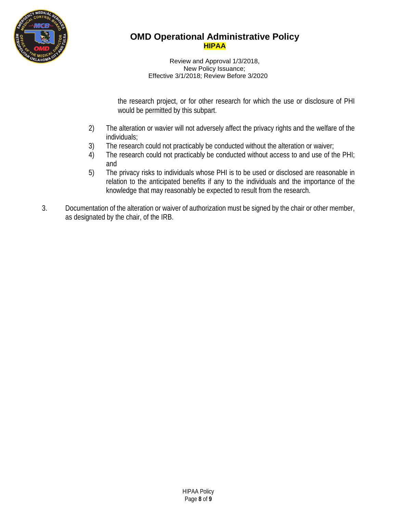

Review and Approval 1/3/2018, New Policy Issuance; Effective 3/1/2018; Review Before 3/2020

the research project, or for other research for which the use or disclosure of PHI would be permitted by this subpart.

- 2) The alteration or wavier will not adversely affect the privacy rights and the welfare of the individuals;
- 3) The research could not practicably be conducted without the alteration or waiver;
- 4) The research could not practicably be conducted without access to and use of the PHI; and
- 5) The privacy risks to individuals whose PHI is to be used or disclosed are reasonable in relation to the anticipated benefits if any to the individuals and the importance of the knowledge that may reasonably be expected to result from the research.
- 3. Documentation of the alteration or waiver of authorization must be signed by the chair or other member, as designated by the chair, of the IRB.